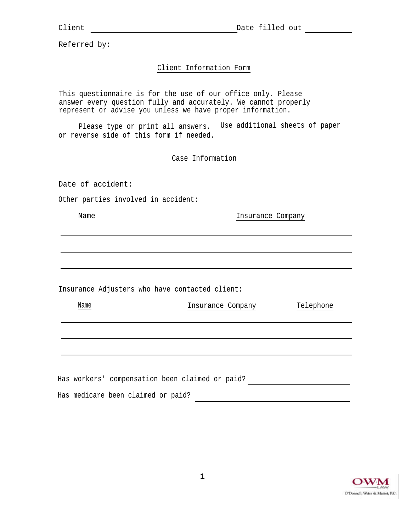Referred by: <u>with the set of the set of the set of the set of the set of the set of the set of the set of the set of the set of the set of the set of the set of the set of the set of the set of the set of the set of the s</u>

# Client Information Form

This questionnaire is for the use of our office only. Please answer every question fully and accurately. We cannot properly represent or advise you unless we have proper information.

Please type or print all answers. Use additional sheets of paper or reverse side of this form if needed.

Case Information

Date of accident:

Other parties involved in accident:

Name Insurance Company

Insurance Adjusters who have contacted client:

| Name | Insurance Company | Telephone |
|------|-------------------|-----------|
|      |                   |           |
|      |                   |           |
|      |                   |           |
|      |                   |           |

| Has workers' compensation been claimed or paid? |  |  |  |  |
|-------------------------------------------------|--|--|--|--|
| Has medicare been claimed or paid?              |  |  |  |  |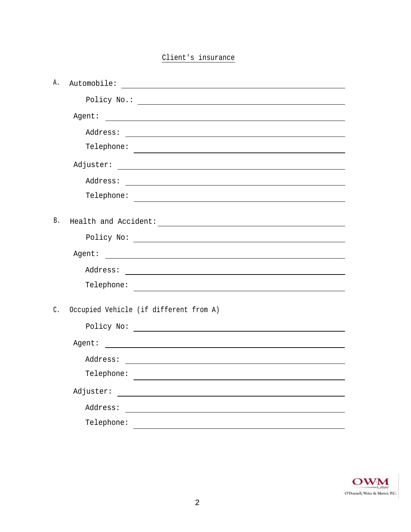# Client's insurance

| Α. |                                                                                                                                                                                                                                                                                                                                                                                                                                                  |
|----|--------------------------------------------------------------------------------------------------------------------------------------------------------------------------------------------------------------------------------------------------------------------------------------------------------------------------------------------------------------------------------------------------------------------------------------------------|
|    |                                                                                                                                                                                                                                                                                                                                                                                                                                                  |
|    | Agent:<br>$\label{eq:2.1} \frac{1}{\sqrt{2\pi}}\frac{1}{\sqrt{2\pi}}\left(\frac{1}{\sqrt{2\pi}}\left(\frac{1}{\sqrt{2\pi}}\right)^2\right)^{1/2}\left(\frac{1}{\sqrt{2\pi}}\left(\frac{1}{\sqrt{2\pi}}\right)^2\right)^{1/2}\left(\frac{1}{\sqrt{2\pi}}\right)^{1/2}\left(\frac{1}{\sqrt{2\pi}}\right)^{1/2}\left(\frac{1}{\sqrt{2\pi}}\right)^{1/2}\left(\frac{1}{\sqrt{2\pi}}\right)^{1/2}\left(\frac{1}{\sqrt{2\pi}}\right)^{1/2}\left(\frac$ |
|    |                                                                                                                                                                                                                                                                                                                                                                                                                                                  |
|    |                                                                                                                                                                                                                                                                                                                                                                                                                                                  |
|    |                                                                                                                                                                                                                                                                                                                                                                                                                                                  |
|    |                                                                                                                                                                                                                                                                                                                                                                                                                                                  |
|    |                                                                                                                                                                                                                                                                                                                                                                                                                                                  |
| Β. |                                                                                                                                                                                                                                                                                                                                                                                                                                                  |
|    |                                                                                                                                                                                                                                                                                                                                                                                                                                                  |
|    |                                                                                                                                                                                                                                                                                                                                                                                                                                                  |
|    |                                                                                                                                                                                                                                                                                                                                                                                                                                                  |
|    |                                                                                                                                                                                                                                                                                                                                                                                                                                                  |
|    |                                                                                                                                                                                                                                                                                                                                                                                                                                                  |
| C. | Occupied Vehicle (if different from A)                                                                                                                                                                                                                                                                                                                                                                                                           |
|    |                                                                                                                                                                                                                                                                                                                                                                                                                                                  |
|    |                                                                                                                                                                                                                                                                                                                                                                                                                                                  |
|    |                                                                                                                                                                                                                                                                                                                                                                                                                                                  |
|    |                                                                                                                                                                                                                                                                                                                                                                                                                                                  |
|    |                                                                                                                                                                                                                                                                                                                                                                                                                                                  |
|    |                                                                                                                                                                                                                                                                                                                                                                                                                                                  |
|    | Telephone:                                                                                                                                                                                                                                                                                                                                                                                                                                       |

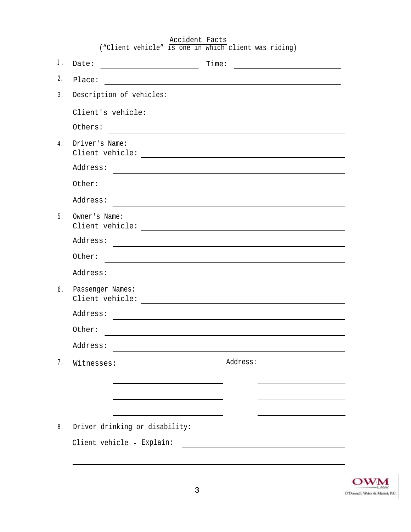|    | ("Client vehicle" is one in which client was riding)                                                                               |                                                                                                                       |
|----|------------------------------------------------------------------------------------------------------------------------------------|-----------------------------------------------------------------------------------------------------------------------|
| Ι. | Date:<br><u> 2002 - Johann Stone, fransk politiker (</u>                                                                           | Time:<br><u> 1980 - Andrea Andrew Maria (h. 1980).</u>                                                                |
| 2. | Place:                                                                                                                             | <u> 1989 - Johann Harry Harry Harry Harry Harry Harry Harry Harry Harry Harry Harry Harry Harry Harry Harry Harry</u> |
| 3. | Description of vehicles:                                                                                                           |                                                                                                                       |
|    |                                                                                                                                    |                                                                                                                       |
|    | Others:                                                                                                                            | and the control of the control of the control of the control of the control of the control of the control of the      |
| 4. | Driver's Name:                                                                                                                     |                                                                                                                       |
|    | Address:                                                                                                                           | and the control of the control of the control of the control of the control of the control of the control of the      |
|    | Other:                                                                                                                             |                                                                                                                       |
|    | Address:                                                                                                                           |                                                                                                                       |
| 5. | Owner's Name:                                                                                                                      |                                                                                                                       |
|    | Address:                                                                                                                           |                                                                                                                       |
|    | Other:                                                                                                                             |                                                                                                                       |
|    | Address:                                                                                                                           |                                                                                                                       |
| 6. | Passenger Names:<br>Client vehicle: The contract of the contract of the contract of the contract of the contract of the contract o |                                                                                                                       |
|    | Address:                                                                                                                           |                                                                                                                       |
|    | Other:                                                                                                                             |                                                                                                                       |
|    | Address:                                                                                                                           |                                                                                                                       |
| 7. | Witnesses: Mitnesses: Mitnesses: Mitnesses: Mitnesses: Mitnesses: Mitnesses: Mitnesses: Mitnesses: Mitnesses: M                    |                                                                                                                       |
|    |                                                                                                                                    |                                                                                                                       |
|    |                                                                                                                                    | <u> 1980 - Jan Barnett, fransk politik (d. 1980)</u>                                                                  |
|    | <u> 1989 - Johann Barbara, martxa alemaniar a</u>                                                                                  |                                                                                                                       |
| 8. | Driver drinking or disability:                                                                                                     |                                                                                                                       |
|    | Client vehicle - Explain:                                                                                                          | <u> 1989 - Jan Barbara Barat, prima popular popular popular popular popular popular popular popular popular popu</u>  |

Accident Facts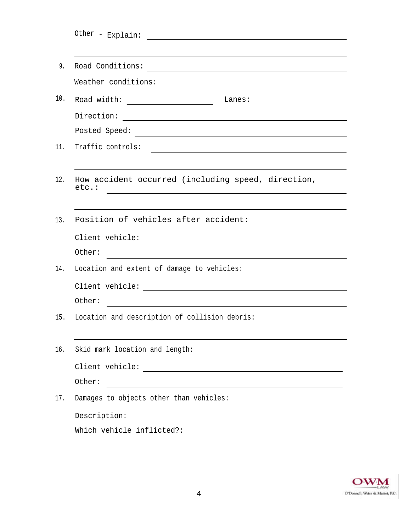|     | Road Conditions:                                                                                                                  |
|-----|-----------------------------------------------------------------------------------------------------------------------------------|
|     | Weather conditions:                                                                                                               |
|     | Road width: ___________________________ Lanes:                                                                                    |
|     |                                                                                                                                   |
|     |                                                                                                                                   |
|     | Traffic controls:                                                                                                                 |
|     |                                                                                                                                   |
|     | How accident occurred (including speed, direction,<br>etc.:<br><u> 1989 - Johann Barbara, martxa amerikan personal (h. 1989).</u> |
|     | Position of vehicles after accident:                                                                                              |
|     |                                                                                                                                   |
|     | Other:<br><u> Andreas Andreas Andreas Andreas Andreas Andreas Andreas Andreas Andreas Andreas Andreas Andreas Andreas Andr</u>    |
| 14. | Location and extent of damage to vehicles:                                                                                        |
|     |                                                                                                                                   |
|     | Other:                                                                                                                            |
|     | Location and description of collision debris:                                                                                     |
|     | Skid mark location and length:                                                                                                    |
|     |                                                                                                                                   |
|     | Other:                                                                                                                            |
|     | Damages to objects other than vehicles:                                                                                           |
|     | Description:<br><u> 1989 - Johann Stoff, fransk politik (d. 1989)</u>                                                             |
|     | Which vehicle inflicted?:                                                                                                         |

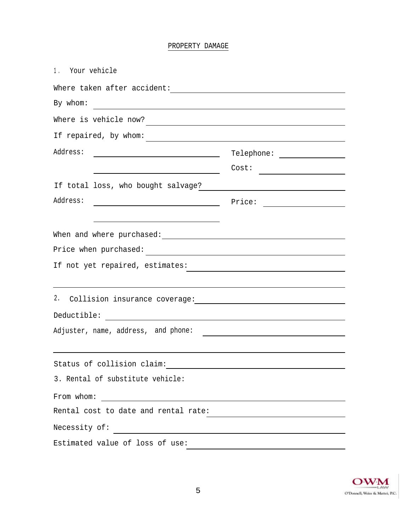# PROPERTY DAMAGE

| 1. Your vehicle                                                                                                 |                                                                                                                       |
|-----------------------------------------------------------------------------------------------------------------|-----------------------------------------------------------------------------------------------------------------------|
| Where taken after accident: The contract of the contract of the contract of the contract of the contract of the |                                                                                                                       |
| By whom:                                                                                                        |                                                                                                                       |
|                                                                                                                 |                                                                                                                       |
| If repaired, by whom:                                                                                           |                                                                                                                       |
| Address:<br><u> 1989 - Johann Barbara, martin amerikan personal (</u>                                           |                                                                                                                       |
|                                                                                                                 | Cost:                                                                                                                 |
| If total loss, who bought salvage?                                                                              |                                                                                                                       |
| Address:<br><u> 1989 - Johann Barbara, martin amerikan basar da</u>                                             | Price:                                                                                                                |
|                                                                                                                 |                                                                                                                       |
|                                                                                                                 |                                                                                                                       |
| Price when purchased:                                                                                           |                                                                                                                       |
| If not yet repaired, estimates:                                                                                 |                                                                                                                       |
|                                                                                                                 |                                                                                                                       |
| 2.                                                                                                              |                                                                                                                       |
| Deductible:                                                                                                     |                                                                                                                       |
| Adjuster, name, address, and phone:                                                                             |                                                                                                                       |
|                                                                                                                 |                                                                                                                       |
| Status of collision claim:                                                                                      |                                                                                                                       |
| 3. Rental of substitute vehicle:                                                                                |                                                                                                                       |
| From whom: $\qquad \qquad$                                                                                      |                                                                                                                       |
| Rental cost to date and rental rate:                                                                            | <u> 1989 - Johann Barbara, martin amerikan basar dan basa dan basa dan basa dalam basa dalam basa dalam basa dala</u> |
| Necessity of:                                                                                                   |                                                                                                                       |
| Estimated value of loss of use:                                                                                 |                                                                                                                       |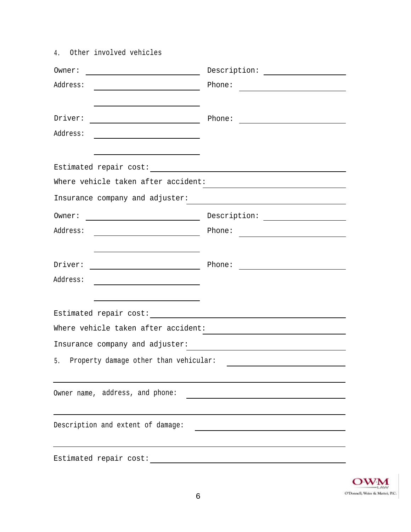| 4. Other involved vehicles                                                                                                                  |                                                 |
|---------------------------------------------------------------------------------------------------------------------------------------------|-------------------------------------------------|
|                                                                                                                                             | $\begin{tabular}{c} Description: \end{tabular}$ |
|                                                                                                                                             | Phone:                                          |
|                                                                                                                                             |                                                 |
| $\text{Driver:}\n \begin{tabular}{ c c c } \hline \multicolumn{3}{ c }{\text{briver:}}\n \end{tabular}$                                     |                                                 |
| Address:                                                                                                                                    |                                                 |
|                                                                                                                                             |                                                 |
|                                                                                                                                             |                                                 |
| Where vehicle taken after accident:                                                                                                         |                                                 |
|                                                                                                                                             |                                                 |
|                                                                                                                                             |                                                 |
|                                                                                                                                             |                                                 |
| <u> Andreas Andreas Andreas Andreas Andreas Andreas Andreas Andreas Andreas Andreas Andreas Andreas Andreas Andr</u>                        |                                                 |
| $\begin{tabular}{c} \multicolumn{2}{c} {\text{briver:}} \end{tabular} \begin{tabular}{c} \multicolumn{2}{c} {\text{briver:}} \end{tabular}$ | Phone:                                          |
| Address:                                                                                                                                    |                                                 |
|                                                                                                                                             |                                                 |
|                                                                                                                                             |                                                 |
| Where vehicle taken after accident:                                                                                                         |                                                 |
| Insurance company and adjuster:                                                                                                             |                                                 |
| Property damage other than vehicular:<br>5.                                                                                                 |                                                 |
|                                                                                                                                             |                                                 |
| Owner name, address, and phone:                                                                                                             |                                                 |
|                                                                                                                                             |                                                 |
| Description and extent of damage:                                                                                                           |                                                 |
|                                                                                                                                             |                                                 |
| Estimated repair cost:                                                                                                                      |                                                 |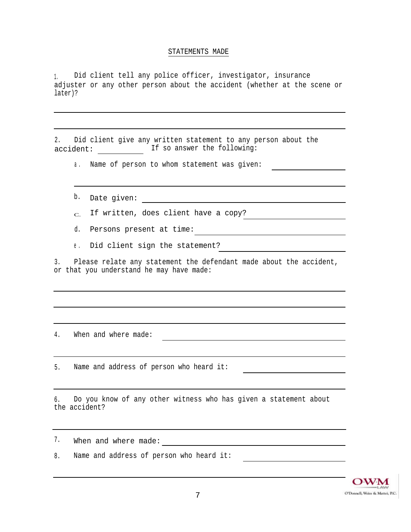### STATEMENTS MADE

1. Did client tell any police officer, investigator, insurance adjuster or any other person about the accident (whether at the scene or later)?

|           |  |  |  |                             |  |  | Did client give any written statement to any person about the |  |
|-----------|--|--|--|-----------------------------|--|--|---------------------------------------------------------------|--|
| accident: |  |  |  | If so answer the following: |  |  |                                                               |  |

a. Name of person to whom statement was given:

b. Date given:

 $_{\rm C.}$  If written, does client have a copy?

d. Persons present at time:

e. Did client sign the statement?

3. Please relate any statement the defendant made about the accident, or that you understand he may have made:

4. When and where made:

5. Name and address of person who heard it:

6. Do you know of any other witness who has given a statement about the accident?

When and where made: 7.

8. Name and address of person who heard it: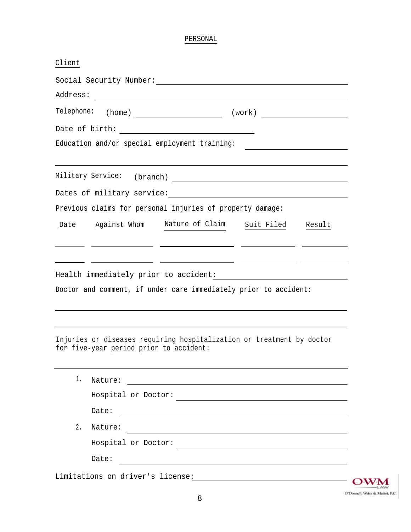# PERSONAL

| Address:   |                                                                   | <u> 1980 - Johann Barbara, martxa alemaniar arg</u>                                                                                                                                                                                                                                                                                                                                                                                                                                                                                               |                   |  |
|------------|-------------------------------------------------------------------|---------------------------------------------------------------------------------------------------------------------------------------------------------------------------------------------------------------------------------------------------------------------------------------------------------------------------------------------------------------------------------------------------------------------------------------------------------------------------------------------------------------------------------------------------|-------------------|--|
| Telephone: |                                                                   |                                                                                                                                                                                                                                                                                                                                                                                                                                                                                                                                                   |                   |  |
|            |                                                                   |                                                                                                                                                                                                                                                                                                                                                                                                                                                                                                                                                   |                   |  |
|            |                                                                   | Education and/or special employment training:                                                                                                                                                                                                                                                                                                                                                                                                                                                                                                     |                   |  |
|            | Military Service:                                                 |                                                                                                                                                                                                                                                                                                                                                                                                                                                                                                                                                   |                   |  |
|            |                                                                   | $\qquad \qquad {\rm (branch)} \qquad \qquad \qquad {\rm (branch)} \qquad \qquad {\rm (branch)} \qquad \qquad {\rm (constant)} \qquad \qquad {\rm (constant)} \qquad \qquad {\rm (constant)} \qquad \qquad {\rm (in)} \qquad {\rm (in)} \qquad {\rm (in)} \qquad {\rm (in)} \qquad {\rm (in)} \qquad {\rm (in)} \qquad {\rm (in)} \qquad {\rm (in)} \qquad {\rm (in)} \qquad {\rm (in)} \qquad {\rm (in)} \qquad {\rm (in)} \qquad {\rm (in)} \qquad {\rm (in)} \qquad {\rm (in)} \qquad {\rm (in)} \qquad {\rm (in)} \qquad {\rm (in)} \qquad {\$ |                   |  |
|            |                                                                   | Previous claims for personal injuries of property damage:                                                                                                                                                                                                                                                                                                                                                                                                                                                                                         |                   |  |
|            |                                                                   |                                                                                                                                                                                                                                                                                                                                                                                                                                                                                                                                                   |                   |  |
| Date       |                                                                   | Against Whom Nature of Claim                                                                                                                                                                                                                                                                                                                                                                                                                                                                                                                      | Suit Filed Result |  |
|            |                                                                   |                                                                                                                                                                                                                                                                                                                                                                                                                                                                                                                                                   |                   |  |
|            | <u> 1999 - Jan James James, politik američki politik († 1908)</u> |                                                                                                                                                                                                                                                                                                                                                                                                                                                                                                                                                   |                   |  |
|            |                                                                   |                                                                                                                                                                                                                                                                                                                                                                                                                                                                                                                                                   |                   |  |
|            |                                                                   |                                                                                                                                                                                                                                                                                                                                                                                                                                                                                                                                                   |                   |  |
|            |                                                                   | Doctor and comment, if under care immediately prior to accident:                                                                                                                                                                                                                                                                                                                                                                                                                                                                                  |                   |  |
|            |                                                                   |                                                                                                                                                                                                                                                                                                                                                                                                                                                                                                                                                   |                   |  |
|            |                                                                   |                                                                                                                                                                                                                                                                                                                                                                                                                                                                                                                                                   |                   |  |
|            | for five-year period prior to accident:                           | Injuries or diseases requiring hospitalization or treatment by doctor                                                                                                                                                                                                                                                                                                                                                                                                                                                                             |                   |  |
|            |                                                                   |                                                                                                                                                                                                                                                                                                                                                                                                                                                                                                                                                   |                   |  |
| 1.         |                                                                   | Nature: when the contract of the contract of the contract of the contract of the contract of the contract of the contract of the contract of the contract of the contract of the contract of the contract of the contract of t                                                                                                                                                                                                                                                                                                                    |                   |  |
|            | Hospital or Doctor:                                               |                                                                                                                                                                                                                                                                                                                                                                                                                                                                                                                                                   |                   |  |
|            | Date:                                                             |                                                                                                                                                                                                                                                                                                                                                                                                                                                                                                                                                   |                   |  |
| 2.         | Nature:                                                           |                                                                                                                                                                                                                                                                                                                                                                                                                                                                                                                                                   |                   |  |
|            | Hospital or Doctor:                                               |                                                                                                                                                                                                                                                                                                                                                                                                                                                                                                                                                   |                   |  |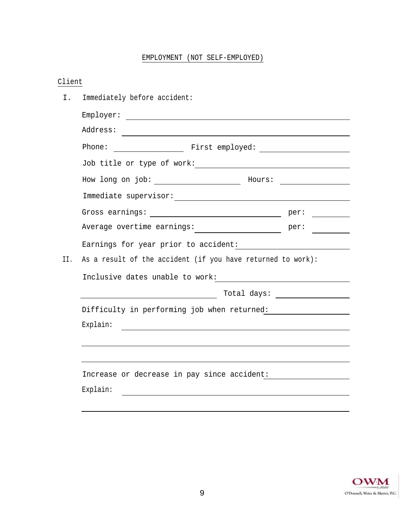# EMPLOYMENT (NOT SELF-EMPLOYED)

# Client

| Ι.  | Immediately before accident:                                |                                                                                                                                                                                                                                                                                                                                                                                                                                                        |  |  |  |  |  |
|-----|-------------------------------------------------------------|--------------------------------------------------------------------------------------------------------------------------------------------------------------------------------------------------------------------------------------------------------------------------------------------------------------------------------------------------------------------------------------------------------------------------------------------------------|--|--|--|--|--|
|     |                                                             |                                                                                                                                                                                                                                                                                                                                                                                                                                                        |  |  |  |  |  |
|     | Address:                                                    |                                                                                                                                                                                                                                                                                                                                                                                                                                                        |  |  |  |  |  |
|     |                                                             |                                                                                                                                                                                                                                                                                                                                                                                                                                                        |  |  |  |  |  |
|     |                                                             |                                                                                                                                                                                                                                                                                                                                                                                                                                                        |  |  |  |  |  |
|     |                                                             |                                                                                                                                                                                                                                                                                                                                                                                                                                                        |  |  |  |  |  |
|     |                                                             |                                                                                                                                                                                                                                                                                                                                                                                                                                                        |  |  |  |  |  |
|     |                                                             | $\label{eq:2.1} \frac{1}{\sqrt{2}}\left(\frac{1}{\sqrt{2}}\right)^{2} \left(\frac{1}{\sqrt{2}}\right)^{2} \left(\frac{1}{\sqrt{2}}\right)^{2} \left(\frac{1}{\sqrt{2}}\right)^{2} \left(\frac{1}{\sqrt{2}}\right)^{2} \left(\frac{1}{\sqrt{2}}\right)^{2} \left(\frac{1}{\sqrt{2}}\right)^{2} \left(\frac{1}{\sqrt{2}}\right)^{2} \left(\frac{1}{\sqrt{2}}\right)^{2} \left(\frac{1}{\sqrt{2}}\right)^{2} \left(\frac{1}{\sqrt{2}}\right)^{2} \left(\$ |  |  |  |  |  |
|     | Average overtime earnings: ______________________ per:      |                                                                                                                                                                                                                                                                                                                                                                                                                                                        |  |  |  |  |  |
|     |                                                             |                                                                                                                                                                                                                                                                                                                                                                                                                                                        |  |  |  |  |  |
| II. | As a result of the accident (if you have returned to work): |                                                                                                                                                                                                                                                                                                                                                                                                                                                        |  |  |  |  |  |
|     |                                                             |                                                                                                                                                                                                                                                                                                                                                                                                                                                        |  |  |  |  |  |
|     |                                                             | $\begin{tabular}{c} Total days: \end{tabular}$                                                                                                                                                                                                                                                                                                                                                                                                         |  |  |  |  |  |
|     | Difficulty in performing job when returned:                 |                                                                                                                                                                                                                                                                                                                                                                                                                                                        |  |  |  |  |  |
|     | Explain:                                                    |                                                                                                                                                                                                                                                                                                                                                                                                                                                        |  |  |  |  |  |
|     |                                                             |                                                                                                                                                                                                                                                                                                                                                                                                                                                        |  |  |  |  |  |
|     |                                                             |                                                                                                                                                                                                                                                                                                                                                                                                                                                        |  |  |  |  |  |
|     | Increase or decrease in pay since accident:                 |                                                                                                                                                                                                                                                                                                                                                                                                                                                        |  |  |  |  |  |
|     | Explain:                                                    |                                                                                                                                                                                                                                                                                                                                                                                                                                                        |  |  |  |  |  |
|     |                                                             |                                                                                                                                                                                                                                                                                                                                                                                                                                                        |  |  |  |  |  |

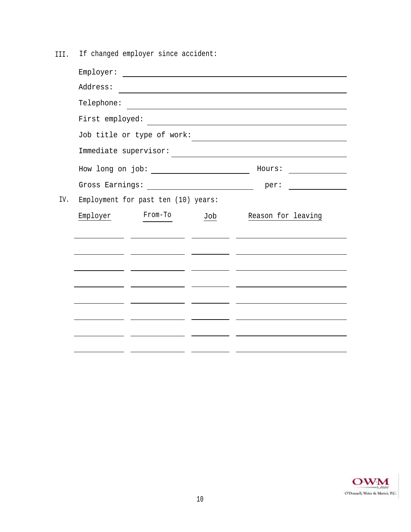III. If changed employer since accident:

|     |                            | $\texttt{Employer:}\quad \textcolor{red}{\overbrace{\text{temployer:}\quad \text{minipolds} \quad \text{minipolds} \quad \text{minipolds} \quad \text{minipolds} \quad \text{minipolds} \quad \text{minipolds} \quad \text{minipolds} \quad \text{minipolds} \quad \text{minipolds} \quad \text{minipolds}$                                                                           |                                                                                           |                                                        |  |  |  |
|-----|----------------------------|---------------------------------------------------------------------------------------------------------------------------------------------------------------------------------------------------------------------------------------------------------------------------------------------------------------------------------------------------------------------------------------|-------------------------------------------------------------------------------------------|--------------------------------------------------------|--|--|--|
|     | Address:                   |                                                                                                                                                                                                                                                                                                                                                                                       | the control of the control of the control of the control of the control of the control of |                                                        |  |  |  |
|     | Telephone:                 |                                                                                                                                                                                                                                                                                                                                                                                       |                                                                                           |                                                        |  |  |  |
|     |                            |                                                                                                                                                                                                                                                                                                                                                                                       |                                                                                           |                                                        |  |  |  |
|     | Job title or type of work: | the control of the control of the control of the control of the control of the control of                                                                                                                                                                                                                                                                                             |                                                                                           |                                                        |  |  |  |
|     | Immediate supervisor:      |                                                                                                                                                                                                                                                                                                                                                                                       |                                                                                           |                                                        |  |  |  |
|     |                            | How long on job: $\_\_$                                                                                                                                                                                                                                                                                                                                                               |                                                                                           | Hours:<br><u> 1970 - Jan Barbarat, prima politik (</u> |  |  |  |
|     |                            | Gross Earnings: $\frac{1}{\sqrt{1-\frac{1}{2}}}\left\{ \frac{1}{2}+\frac{1}{2}+\frac{1}{2}+\frac{1}{2}+\frac{1}{2}+\frac{1}{2}+\frac{1}{2}+\frac{1}{2}+\frac{1}{2}+\frac{1}{2}+\frac{1}{2}+\frac{1}{2}+\frac{1}{2}+\frac{1}{2}+\frac{1}{2}+\frac{1}{2}+\frac{1}{2}+\frac{1}{2}+\frac{1}{2}+\frac{1}{2}+\frac{1}{2}+\frac{1}{2}+\frac{1}{2}+\frac{1}{2}+\frac{1}{2}+\frac{1}{2}+\frac$ |                                                                                           | per:                                                   |  |  |  |
| IV. |                            | Employment for past ten (10) years:                                                                                                                                                                                                                                                                                                                                                   |                                                                                           |                                                        |  |  |  |
|     | Employer                   | From-To                                                                                                                                                                                                                                                                                                                                                                               | Job                                                                                       | Reason for leaving                                     |  |  |  |
|     |                            |                                                                                                                                                                                                                                                                                                                                                                                       |                                                                                           |                                                        |  |  |  |
|     |                            |                                                                                                                                                                                                                                                                                                                                                                                       |                                                                                           |                                                        |  |  |  |
|     |                            |                                                                                                                                                                                                                                                                                                                                                                                       |                                                                                           |                                                        |  |  |  |
|     |                            |                                                                                                                                                                                                                                                                                                                                                                                       |                                                                                           |                                                        |  |  |  |
|     |                            |                                                                                                                                                                                                                                                                                                                                                                                       |                                                                                           |                                                        |  |  |  |
|     |                            |                                                                                                                                                                                                                                                                                                                                                                                       |                                                                                           |                                                        |  |  |  |
|     |                            |                                                                                                                                                                                                                                                                                                                                                                                       |                                                                                           |                                                        |  |  |  |
|     |                            |                                                                                                                                                                                                                                                                                                                                                                                       |                                                                                           |                                                        |  |  |  |
|     |                            |                                                                                                                                                                                                                                                                                                                                                                                       |                                                                                           |                                                        |  |  |  |

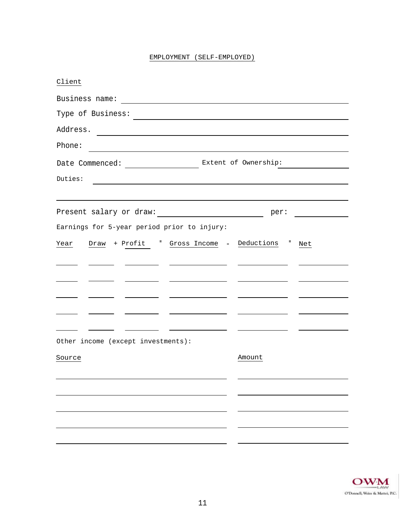|  | EMPLOYMENT (SELF-EMPLOYED) |
|--|----------------------------|
|--|----------------------------|

| Client                                                     |                                           |  |  |
|------------------------------------------------------------|-------------------------------------------|--|--|
|                                                            |                                           |  |  |
| Type of Business:                                          |                                           |  |  |
| Address.                                                   |                                           |  |  |
| Phone:                                                     |                                           |  |  |
|                                                            |                                           |  |  |
| Duties:                                                    |                                           |  |  |
|                                                            |                                           |  |  |
| Present salary or draw:                                    | per:<br><u>and the state of the state</u> |  |  |
| Earnings for 5-year period prior to injury:                |                                           |  |  |
| F.<br>Gross Income - Deductions =<br>Draw + Profit<br>Year | Net                                       |  |  |
|                                                            |                                           |  |  |
|                                                            |                                           |  |  |
|                                                            |                                           |  |  |
|                                                            |                                           |  |  |
|                                                            |                                           |  |  |
| Other income (except investments):                         |                                           |  |  |
| Source                                                     | Amount                                    |  |  |
|                                                            |                                           |  |  |
|                                                            |                                           |  |  |
|                                                            |                                           |  |  |
|                                                            |                                           |  |  |
|                                                            |                                           |  |  |
|                                                            |                                           |  |  |

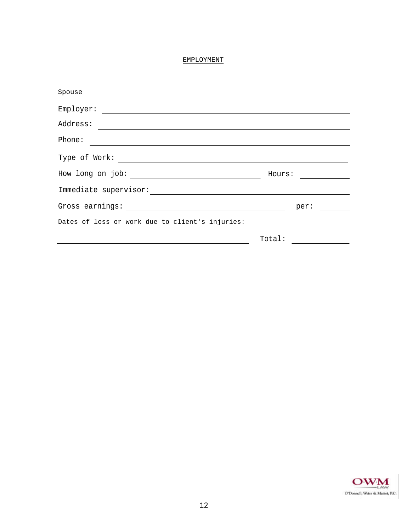# EMPLOYMENT

| Spouse                                          |        |
|-------------------------------------------------|--------|
| Employer:                                       |        |
| Address:                                        |        |
| Phone:                                          |        |
| Type of Work:                                   |        |
| How long on job:                                | Hours: |
| Immediate supervisor:                           |        |
| Gross earnings:                                 | per:   |
| Dates of loss or work due to client's injuries: |        |
|                                                 | Total: |

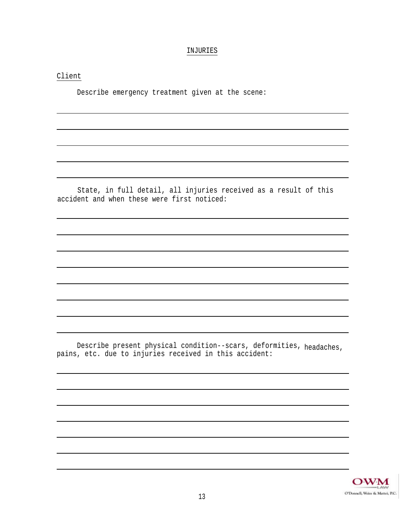#### INJURIES

Client

Describe emergency treatment given at the scene:

State, in full detail, all injuries received as a result of this accident and when these were first noticed:

Describe present physical condition--scars, deformities, headaches, pains, etc. due to injuries received in this accident:

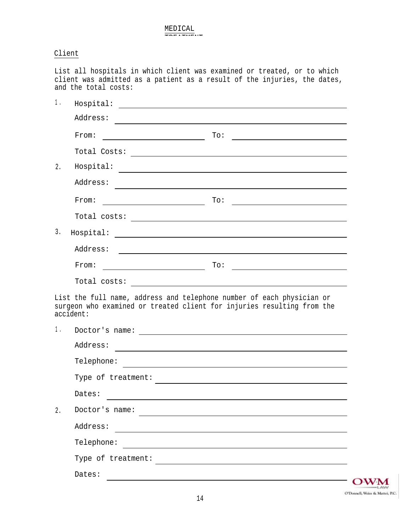# Client

List all hospitals in which client was examined or treated, or to which client was admitted as a patient as a result of the injuries, the dates, and the total costs:

|    | Address:                                                      |                                                                                                                                                                                                                                                                                                                                                                                    |
|----|---------------------------------------------------------------|------------------------------------------------------------------------------------------------------------------------------------------------------------------------------------------------------------------------------------------------------------------------------------------------------------------------------------------------------------------------------------|
|    | From:                                                         | To:<br>the control of the control of the control of the control of the control of                                                                                                                                                                                                                                                                                                  |
|    |                                                               |                                                                                                                                                                                                                                                                                                                                                                                    |
| 2. | Hospital:                                                     | <u> 1989 - Johann Stoff, deutscher Stoff, der Stoff, der Stoff, der Stoff, der Stoff, der Stoff, der Stoff, der S</u>                                                                                                                                                                                                                                                              |
|    | Address:                                                      | and the control of the control of the control of the control of the control of the control of the control of the                                                                                                                                                                                                                                                                   |
|    | From:<br><u> 1989 - Johann Barn, fransk politik (d. 1989)</u> | To:<br><u> 1989 - Johann Barn, mars ann an t-Amhain Aonaich an t-Aonaich an t-Aonaich ann an t-Aonaich ann an t-Aonaich</u>                                                                                                                                                                                                                                                        |
|    |                                                               | $\texttt{Total costs:}\footnotesize\begin{picture}(10,10) \put(0,0){\vector(1,0){100}} \put(15,0){\vector(1,0){100}} \put(15,0){\vector(1,0){100}} \put(15,0){\vector(1,0){100}} \put(15,0){\vector(1,0){100}} \put(15,0){\vector(1,0){100}} \put(15,0){\vector(1,0){100}} \put(15,0){\vector(1,0){100}} \put(15,0){\vector(1,0){100}} \put(15,0){\vector(1,0){100}} \put(15,0){\$ |
| 3. | Hospital:                                                     |                                                                                                                                                                                                                                                                                                                                                                                    |
|    | Address:                                                      | <u> 1989 - Andrea State Barbara, amerikan personal dan personal dan personal dan personal dan personal dan personal dan personal dan personal dan personal dan personal dan personal dan personal dan personal dan personal dan </u>                                                                                                                                               |
|    | From:                                                         | To:<br><u> 1989 - Johann Barbara, martxa alemaniar a</u>                                                                                                                                                                                                                                                                                                                           |
|    |                                                               | $\texttt{Total costs:}\footnotesize\begin{picture}(10,10) \put(0,0){\vector(1,0){100}} \put(15,0){\vector(1,0){100}} \put(15,0){\vector(1,0){100}} \put(15,0){\vector(1,0){100}} \put(15,0){\vector(1,0){100}} \put(15,0){\vector(1,0){100}} \put(15,0){\vector(1,0){100}} \put(15,0){\vector(1,0){100}} \put(15,0){\vector(1,0){100}} \put(15,0){\vector(1,0){100}} \put(15,0){\$ |
|    |                                                               |                                                                                                                                                                                                                                                                                                                                                                                    |
|    | accident:                                                     | List the full name, address and telephone number of each physician or<br>surgeon who examined or treated client for injuries resulting from the                                                                                                                                                                                                                                    |
|    |                                                               |                                                                                                                                                                                                                                                                                                                                                                                    |
|    | Address:                                                      |                                                                                                                                                                                                                                                                                                                                                                                    |
|    |                                                               | <u> 1989 - Johann Stoff, deutscher Stoff, der Stoff, der Stoff, der Stoff, der Stoff, der Stoff, der Stoff, der S</u>                                                                                                                                                                                                                                                              |
|    |                                                               |                                                                                                                                                                                                                                                                                                                                                                                    |
|    | Dates:                                                        |                                                                                                                                                                                                                                                                                                                                                                                    |
|    | Doctor's name:                                                |                                                                                                                                                                                                                                                                                                                                                                                    |
|    | Address:                                                      |                                                                                                                                                                                                                                                                                                                                                                                    |
| 2. | Telephone:                                                    |                                                                                                                                                                                                                                                                                                                                                                                    |
| 1. | Type of treatment:                                            |                                                                                                                                                                                                                                                                                                                                                                                    |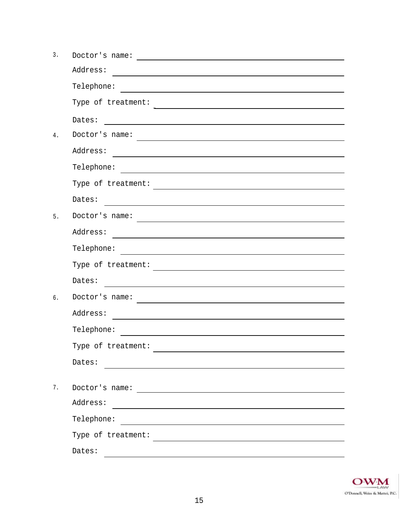| 3. | Doctor's name:                                                                                                                   |
|----|----------------------------------------------------------------------------------------------------------------------------------|
|    | Address:                                                                                                                         |
|    | Telephone:                                                                                                                       |
|    | Type of treatment:                                                                                                               |
|    | Dates:                                                                                                                           |
| 4. | Doctor's name:                                                                                                                   |
|    | Address:                                                                                                                         |
|    | Telephone:                                                                                                                       |
|    | Type of treatment:                                                                                                               |
|    | Dates:                                                                                                                           |
| 5. | Doctor's name:                                                                                                                   |
|    | Address:                                                                                                                         |
|    | Telephone:                                                                                                                       |
|    | Type of treatment:                                                                                                               |
|    | Dates:                                                                                                                           |
| 6. | Doctor's name:                                                                                                                   |
|    | Address:                                                                                                                         |
|    | Telephone:                                                                                                                       |
|    | Type of treatment:                                                                                                               |
|    | Dates:                                                                                                                           |
|    |                                                                                                                                  |
| 7. | Doctor's name:                                                                                                                   |
|    | Address:<br><u> 1980 - Johann Stein, marwolaethau a bhann an t-Amhair an t-Amhair an t-Amhair an t-Amhair an t-Amhair an t-A</u> |
|    | Telephone:                                                                                                                       |
|    |                                                                                                                                  |
|    | Dates:                                                                                                                           |

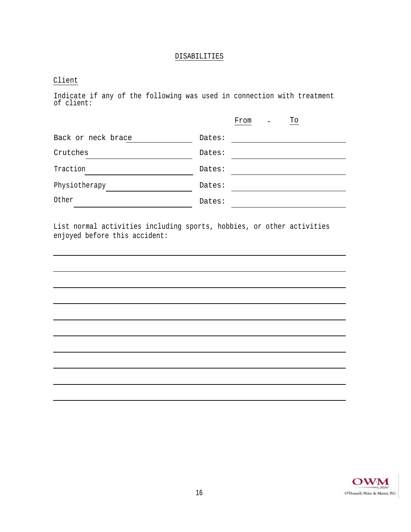### DISABILITIES

# Client

Indicate if any of the following was used in connection with treatment of client:

|                    |        | From | $\blacksquare$ | To |
|--------------------|--------|------|----------------|----|
| Back or neck brace | Dates: |      |                |    |
| Crutches           | Dates: |      |                |    |
| Traction           | Dates: |      |                |    |
| Physiotherapy      | Dates: |      |                |    |
| Other              | Dates: |      |                |    |

List normal activities including sports, hobbies, or other activities enjoyed before this accident:

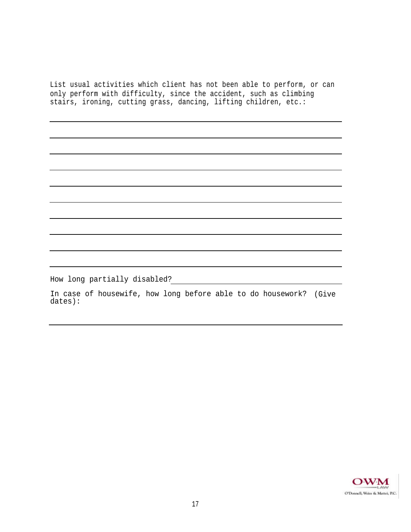List usual activities which client has not been able to perform, or can only perform with difficulty, since the accident, such as climbing stairs, ironing, cutting grass, dancing, lifting children, etc.:

How long partially disabled?

In case of housewife, how long before able to do housework? (Give dates):

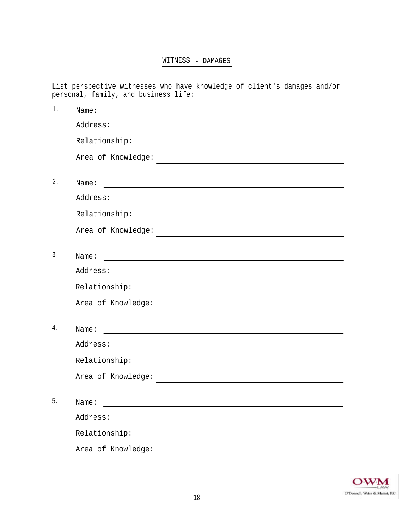# WITNESS - DAMAGES

List perspective witnesses who have knowledge of client's damages and/or personal, family, and business life:

| $1$ . | Name:                                                                                                                                                                                                                          |
|-------|--------------------------------------------------------------------------------------------------------------------------------------------------------------------------------------------------------------------------------|
|       | Address:                                                                                                                                                                                                                       |
|       | Relationship:                                                                                                                                                                                                                  |
|       | Area of Knowledge:<br><u> 1989 - Andrea Andrew Maria (h. 1989).</u>                                                                                                                                                            |
|       |                                                                                                                                                                                                                                |
| $2$ . | Name: contract and contract and contract and contract and contract and contract and contract and contract and contract and contract and contract and contract and contract and contract and contract and contract and contract |
|       | Address:                                                                                                                                                                                                                       |
|       |                                                                                                                                                                                                                                |
|       | Area of Knowledge:<br><u> 1989 - Andrea Andrew Maria (h. 1989).</u>                                                                                                                                                            |
|       |                                                                                                                                                                                                                                |
| 3.    | Name:<br><u> Alexandria de la contrada de la contrada de la contrada de la contrada de la contrada de la contrada de la c</u>                                                                                                  |
|       | Address:                                                                                                                                                                                                                       |
|       |                                                                                                                                                                                                                                |
|       | Area of Knowledge:                                                                                                                                                                                                             |
|       |                                                                                                                                                                                                                                |
| 4.    | Name:<br><u> 1989 - Johann Harry Harry Harry Harry Harry Harry Harry Harry Harry Harry Harry Harry Harry Harry Harry Harry</u>                                                                                                 |
|       | Address:                                                                                                                                                                                                                       |
|       | Relationship: The Common Common Common Common Common Common Common Common Common Common Common Common Common Common Common Common Common Common Common Common Common Common Common Common Common Common Common Common Common C |
|       | Area of Knowledge:<br><u> 1989 - Andrea Andrew Maria (h. 1989).</u>                                                                                                                                                            |
|       |                                                                                                                                                                                                                                |
| 5.    | Name:                                                                                                                                                                                                                          |
|       | Address:                                                                                                                                                                                                                       |
|       | Relationship:                                                                                                                                                                                                                  |
|       | Area of Knowledge:                                                                                                                                                                                                             |

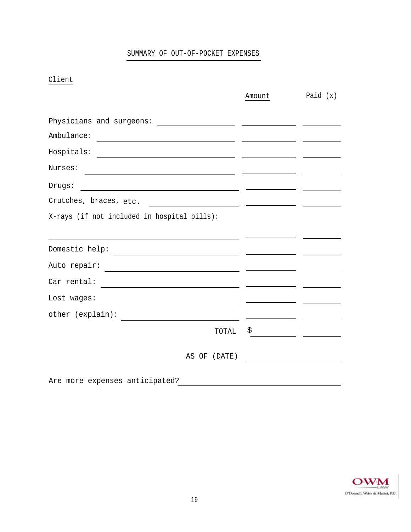# SUMMARY OF OUT-OF-POCKET EXPENSES

Client

|                                                                                                                                                 | Amount | Paid $(x)$ |
|-------------------------------------------------------------------------------------------------------------------------------------------------|--------|------------|
|                                                                                                                                                 |        |            |
|                                                                                                                                                 |        |            |
| Ambulance:<br><u> 1990 - Johann Barbara, martxa alemaniar eta politikaria (h. 1908).</u>                                                        |        |            |
| Hospitals:<br><u> 1989 - Johann Stein, mars an deus an deus Amerikaansk kommunister (</u>                                                       |        |            |
| Nurses:<br><u> 1989 - Johann Barn, amerikansk politiker (d. 1989)</u>                                                                           |        |            |
| Drugs:                                                                                                                                          |        |            |
| Crutches, braces, etc.<br><u>and the state of the state of the state of the state of the state of the state of the state of the state of th</u> |        |            |
| X-rays (if not included in hospital bills):                                                                                                     |        |            |
|                                                                                                                                                 |        |            |
|                                                                                                                                                 |        |            |
| Auto repair:<br><u> 1989 - Johann Barbara, martin amerikan basal dan berasal dalam basal dalam basal dalam basal dalam basal dala</u>           |        |            |
| Car rental:                                                                                                                                     |        |            |
| Lost wages:<br><u> 1980 - Johann Barn, fransk politik (d. 1980)</u>                                                                             |        |            |
| other (explain):<br>the control of the control of the control of the control of the control of the control of                                   |        |            |
| TOTAL                                                                                                                                           | \$     |            |
| AS OF<br>(DATE)                                                                                                                                 |        |            |
|                                                                                                                                                 |        |            |
| Are more expenses anticipated?                                                                                                                  |        |            |